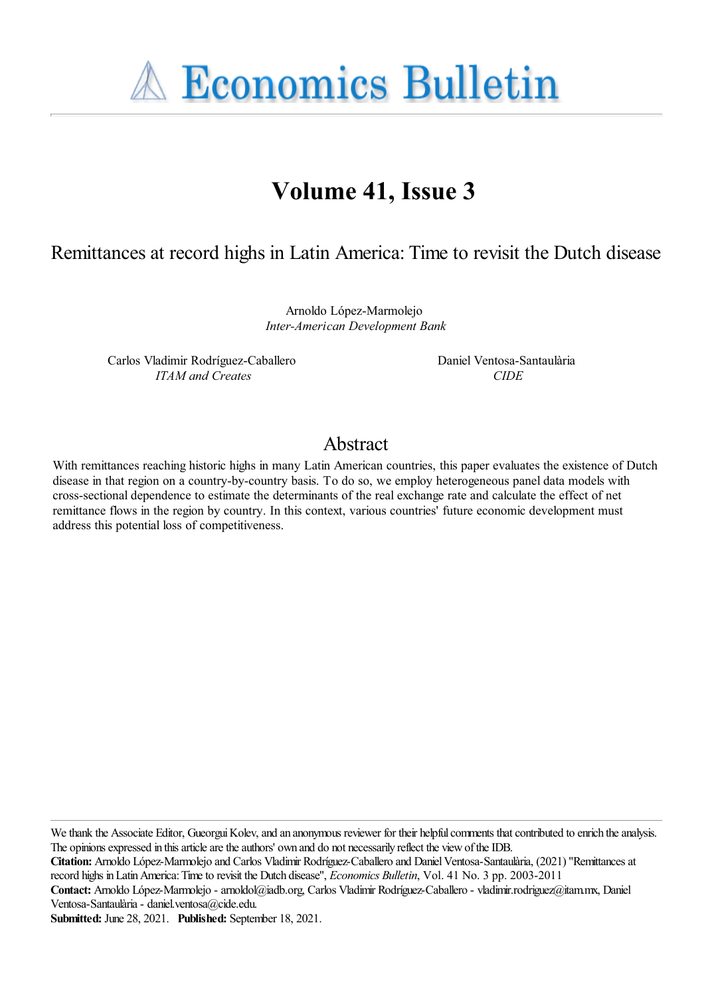**A Economics Bulletin** 

# **Volume 41, Issue 3**

Remittances at record highs in Latin America: Time to revisit the Dutch disease

Arnoldo López-Marmolejo *Inter-American Development Bank*

Carlos Vladimir Rodríguez-Caballero *ITAM and Creates*

Daniel Ventosa-Santaulària *CIDE*

## Abstract

With remittances reaching historic highs in many Latin American countries, this paper evaluates the existence of Dutch disease in that region on a country-by-country basis. To do so, we employ heterogeneous panel data models with cross-sectional dependence to estimate the determinants of the real exchange rate and calculate the effect of net remittance flows in the region by country. In this context, various countries' future economic development must address this potential loss of competitiveness.

We thank the Associate Editor, Gueorgui Kolev, and an anonymous reviewer for their helpful comments that contributed to enrich the analysis. The opinions expressed in this article are the authors' own and do not necessarily reflect the view of the IDB.

**Citation:** Arnoldo López-Marmolejo and Carlos Vladimir Rodríguez-Caballero and DanielVentosa-Santaulària, (2021) ''Remittancesat record highs inLatinAmerica:Timeto revisit the Dutch disease'', *Economics Bulletin*, Vol. 41 No. 3 pp. 2003-2011

**Contact:** Arnoldo López-Marmolejo - arnoldol@iadb.org, Carlos Vladimir Rodríguez-Caballero - vladimir.rodriguez@itam.mx, Daniel Ventosa-Santaulària- daniel.ventosa@cide.edu.

**Submitted:** June 28, 2021. **Published:** September 18, 2021.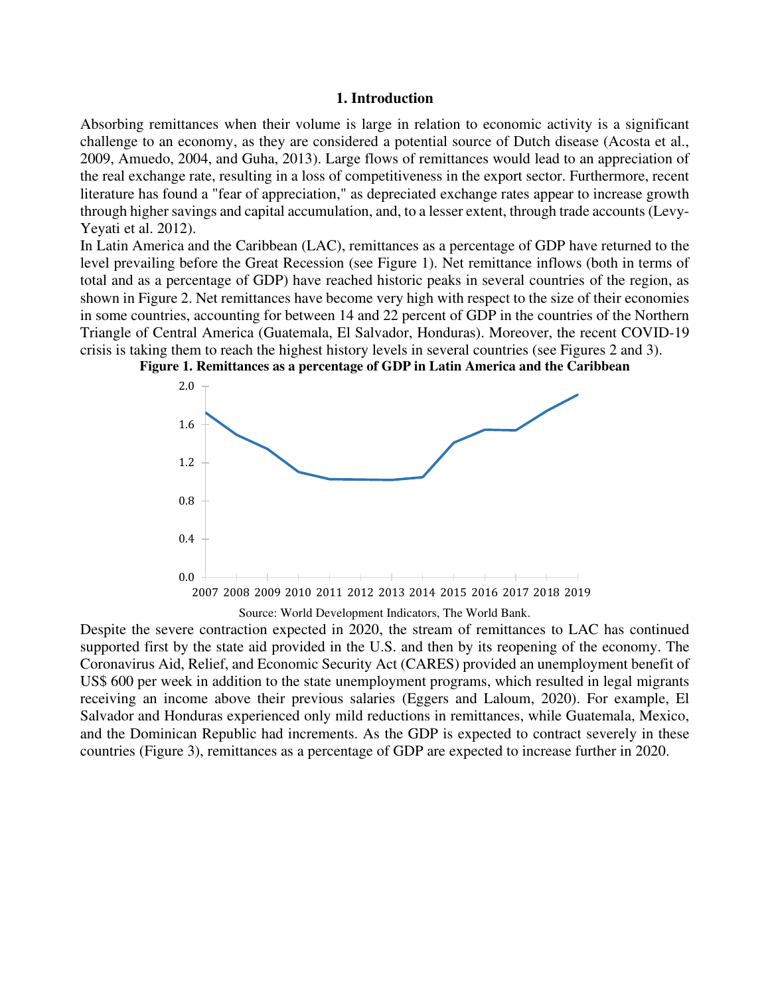#### **1. Introduction**

Absorbing remittances when their volume is large in relation to economic activity is a significant challenge to an economy, as they are considered a potential source of Dutch disease (Acosta et al., 2009, Amuedo, 2004, and Guha, 2013). Large flows of remittances would lead to an appreciation of the real exchange rate, resulting in a loss of competitiveness in the export sector. Furthermore, recent literature has found a "fear of appreciation," as depreciated exchange rates appear to increase growth through higher savings and capital accumulation, and, to a lesser extent, through trade accounts (Levy-Yeyati et al. 2012).

In Latin America and the Caribbean (LAC), remittances as a percentage of GDP have returned to the level prevailing before the Great Recession (see Figure 1). Net remittance inflows (both in terms of total and as a percentage of GDP) have reached historic peaks in several countries of the region, as shown in Figure 2. Net remittances have become very high with respect to the size of their economies in some countries, accounting for between 14 and 22 percent of GDP in the countries of the Northern Triangle of Central America (Guatemala, El Salvador, Honduras). Moreover, the recent COVID-19 crisis is taking them to reach the highest history levels in several countries (see Figures 2 and 3).



**Figure 1. Remittances as a percentage of GDP in Latin America and the Caribbean** 

Despite the severe contraction expected in 2020, the stream of remittances to LAC has continued supported first by the state aid provided in the U.S. and then by its reopening of the economy. The Coronavirus Aid, Relief, and Economic Security Act (CARES) provided an unemployment benefit of US\$ 600 per week in addition to the state unemployment programs, which resulted in legal migrants receiving an income above their previous salaries (Eggers and Laloum, 2020). For example, El Salvador and Honduras experienced only mild reductions in remittances, while Guatemala, Mexico, and the Dominican Republic had increments. As the GDP is expected to contract severely in these countries (Figure 3), remittances as a percentage of GDP are expected to increase further in 2020.

Source: World Development Indicators, The World Bank.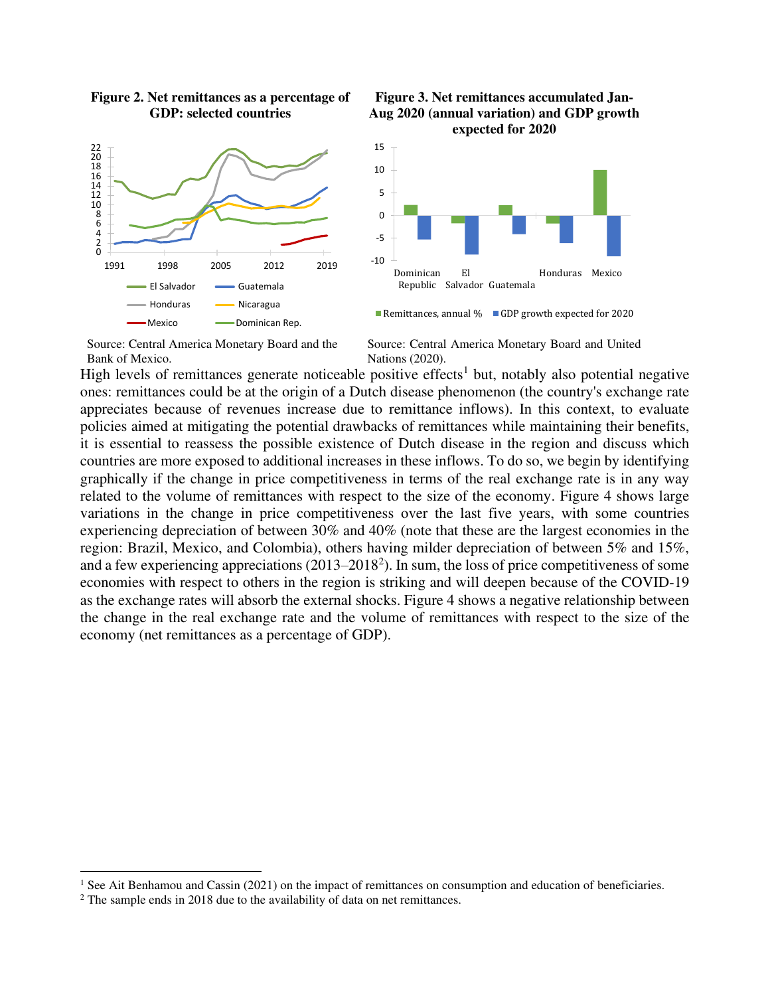

#### **Figure 2. Net remittances as a percentage of GDP: selected countries**





Remittances, annual  $\%$  GDP growth expected for 2020

Source: Central America Monetary Board and the Bank of Mexico.

Source: Central America Monetary Board and United Nations (2020).

High levels of remittances generate noticeable positive effects<sup>1</sup> but, notably also potential negative ones: remittances could be at the origin of a Dutch disease phenomenon (the country's exchange rate appreciates because of revenues increase due to remittance inflows). In this context, to evaluate policies aimed at mitigating the potential drawbacks of remittances while maintaining their benefits, it is essential to reassess the possible existence of Dutch disease in the region and discuss which countries are more exposed to additional increases in these inflows. To do so, we begin by identifying graphically if the change in price competitiveness in terms of the real exchange rate is in any way related to the volume of remittances with respect to the size of the economy. Figure 4 shows large variations in the change in price competitiveness over the last five years, with some countries experiencing depreciation of between 30% and 40% (note that these are the largest economies in the region: Brazil, Mexico, and Colombia), others having milder depreciation of between 5% and 15%, and a few experiencing appreciations  $(2013-2018^2)$ . In sum, the loss of price competitiveness of some economies with respect to others in the region is striking and will deepen because of the COVID-19 as the exchange rates will absorb the external shocks. Figure 4 shows a negative relationship between the change in the real exchange rate and the volume of remittances with respect to the size of the economy (net remittances as a percentage of GDP).

<sup>&</sup>lt;sup>1</sup> See Ait Benhamou and Cassin (2021) on the impact of remittances on consumption and education of beneficiaries.

<sup>&</sup>lt;sup>2</sup> The sample ends in 2018 due to the availability of data on net remittances.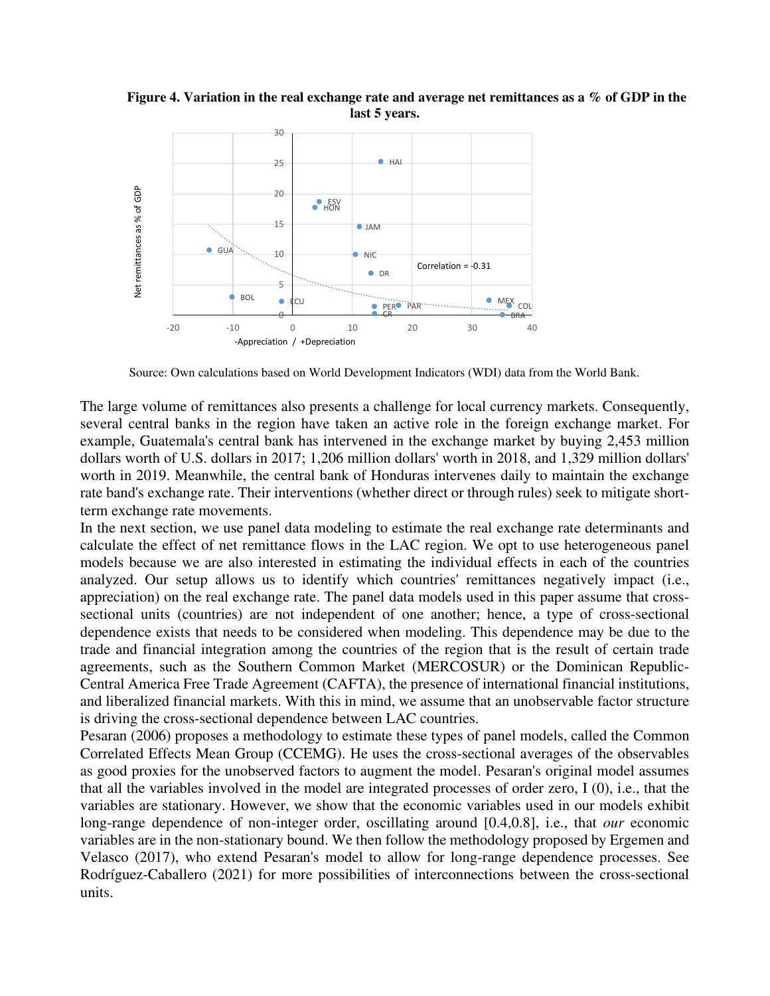**Figure 4. Variation in the real exchange rate and average net remittances as a % of GDP in the last 5 years.** 



Source: Own calculations based on World Development Indicators (WDI) data from the World Bank.

The large volume of remittances also presents a challenge for local currency markets. Consequently, several central banks in the region have taken an active role in the foreign exchange market. For example, Guatemala's central bank has intervened in the exchange market by buying 2,453 million dollars worth of U.S. dollars in 2017; 1,206 million dollars' worth in 2018, and 1,329 million dollars' worth in 2019. Meanwhile, the central bank of Honduras intervenes daily to maintain the exchange rate band's exchange rate. Their interventions (whether direct or through rules) seek to mitigate shortterm exchange rate movements.

In the next section, we use panel data modeling to estimate the real exchange rate determinants and calculate the effect of net remittance flows in the LAC region. We opt to use heterogeneous panel models because we are also interested in estimating the individual effects in each of the countries analyzed. Our setup allows us to identify which countries' remittances negatively impact (i.e., appreciation) on the real exchange rate. The panel data models used in this paper assume that crosssectional units (countries) are not independent of one another; hence, a type of cross-sectional dependence exists that needs to be considered when modeling. This dependence may be due to the trade and financial integration among the countries of the region that is the result of certain trade agreements, such as the Southern Common Market (MERCOSUR) or the Dominican Republic-Central America Free Trade Agreement (CAFTA), the presence of international financial institutions, and liberalized financial markets. With this in mind, we assume that an unobservable factor structure is driving the cross-sectional dependence between LAC countries.

Pesaran (2006) proposes a methodology to estimate these types of panel models, called the Common Correlated Effects Mean Group (CCEMG). He uses the cross-sectional averages of the observables as good proxies for the unobserved factors to augment the model. Pesaran's original model assumes that all the variables involved in the model are integrated processes of order zero, I (0), i.e., that the variables are stationary. However, we show that the economic variables used in our models exhibit long-range dependence of non-integer order, oscillating around [0.4,0.8], i.e., that *our* economic variables are in the non-stationary bound. We then follow the methodology proposed by Ergemen and Velasco (2017), who extend Pesaran's model to allow for long-range dependence processes. See Rodríguez-Caballero (2021) for more possibilities of interconnections between the cross-sectional units.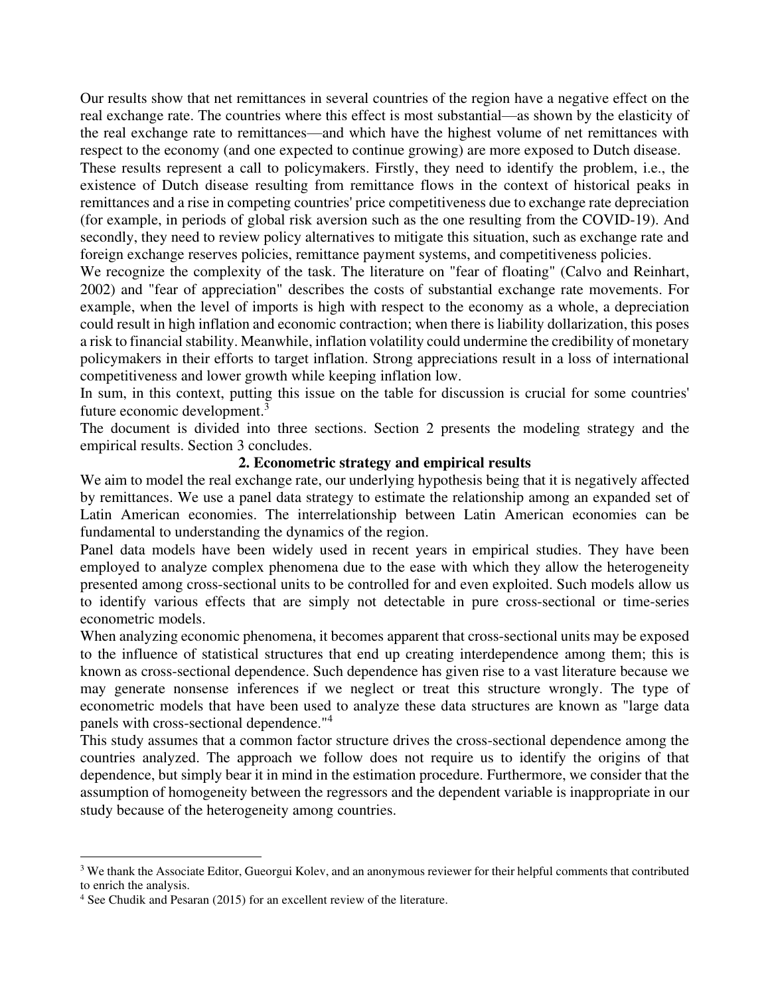Our results show that net remittances in several countries of the region have a negative effect on the real exchange rate. The countries where this effect is most substantial—as shown by the elasticity of the real exchange rate to remittances—and which have the highest volume of net remittances with respect to the economy (and one expected to continue growing) are more exposed to Dutch disease.

These results represent a call to policymakers. Firstly, they need to identify the problem, i.e., the existence of Dutch disease resulting from remittance flows in the context of historical peaks in remittances and a rise in competing countries' price competitiveness due to exchange rate depreciation (for example, in periods of global risk aversion such as the one resulting from the COVID-19). And secondly, they need to review policy alternatives to mitigate this situation, such as exchange rate and foreign exchange reserves policies, remittance payment systems, and competitiveness policies.

We recognize the complexity of the task. The literature on "fear of floating" (Calvo and Reinhart, 2002) and "fear of appreciation" describes the costs of substantial exchange rate movements. For example, when the level of imports is high with respect to the economy as a whole, a depreciation could result in high inflation and economic contraction; when there is liability dollarization, this poses a risk to financial stability. Meanwhile, inflation volatility could undermine the credibility of monetary policymakers in their efforts to target inflation. Strong appreciations result in a loss of international competitiveness and lower growth while keeping inflation low.

In sum, in this context, putting this issue on the table for discussion is crucial for some countries' future economic development.<sup>3</sup>

The document is divided into three sections. Section 2 presents the modeling strategy and the empirical results. Section 3 concludes.

### **2. Econometric strategy and empirical results**

We aim to model the real exchange rate, our underlying hypothesis being that it is negatively affected by remittances. We use a panel data strategy to estimate the relationship among an expanded set of Latin American economies. The interrelationship between Latin American economies can be fundamental to understanding the dynamics of the region.

Panel data models have been widely used in recent years in empirical studies. They have been employed to analyze complex phenomena due to the ease with which they allow the heterogeneity presented among cross-sectional units to be controlled for and even exploited. Such models allow us to identify various effects that are simply not detectable in pure cross-sectional or time-series econometric models.

When analyzing economic phenomena, it becomes apparent that cross-sectional units may be exposed to the influence of statistical structures that end up creating interdependence among them; this is known as cross-sectional dependence. Such dependence has given rise to a vast literature because we may generate nonsense inferences if we neglect or treat this structure wrongly. The type of econometric models that have been used to analyze these data structures are known as "large data panels with cross-sectional dependence."<sup>4</sup>

This study assumes that a common factor structure drives the cross-sectional dependence among the countries analyzed. The approach we follow does not require us to identify the origins of that dependence, but simply bear it in mind in the estimation procedure. Furthermore, we consider that the assumption of homogeneity between the regressors and the dependent variable is inappropriate in our study because of the heterogeneity among countries.

<sup>&</sup>lt;sup>3</sup> We thank the Associate Editor, Gueorgui Kolev, and an anonymous reviewer for their helpful comments that contributed to enrich the analysis.

<sup>&</sup>lt;sup>4</sup> See Chudik and Pesaran (2015) for an excellent review of the literature.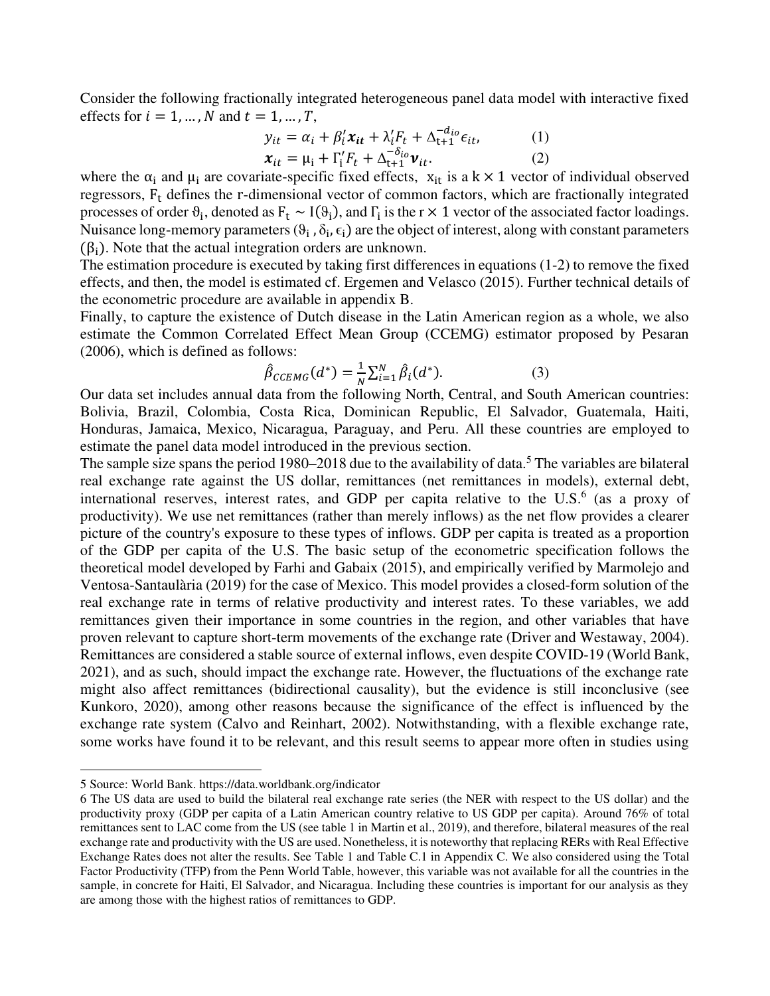Consider the following fractionally integrated heterogeneous panel data model with interactive fixed effects for  $i = 1, ..., N$  and  $t = 1, ..., T$ ,

$$
y_{it} = \alpha_i + \beta'_i x_{it} + \lambda'_i F_t + \Delta_{t+1}^{-d_{io}} \epsilon_{it}, \qquad (1)
$$

$$
\mathbf{x}_{it} = \mu_i + \Gamma_i' F_t + \Delta_{t+1}^{-\delta_{io}} \mathbf{v}_{it}.
$$
 (2)

where the  $\alpha_i$  and  $\mu_i$  are covariate-specific fixed effects,  $x_{it}$  is a k × 1 vector of individual observed regressors, F<sub>t</sub> defines the r-dimensional vector of common factors, which are fractionally integrated processes of order  $\theta_i$ , denoted as  $F_t \sim I(\theta_i)$ , and  $\Gamma_i$  is the r × 1 vector of the associated factor loadings. Nuisance long-memory parameters  $(\theta_i, \delta_i, \epsilon_i)$  are the object of interest, along with constant parameters  $(\beta_i)$ . Note that the actual integration orders are unknown.

The estimation procedure is executed by taking first differences in equations (1-2) to remove the fixed effects, and then, the model is estimated cf. Ergemen and Velasco (2015). Further technical details of the econometric procedure are available in appendix B.

Finally, to capture the existence of Dutch disease in the Latin American region as a whole, we also estimate the Common Correlated Effect Mean Group (CCEMG) estimator proposed by Pesaran (2006), which is defined as follows:

$$
\hat{\beta}_{CCEMG}(d^*) = \frac{1}{N} \sum_{i=1}^{N} \hat{\beta}_i(d^*).
$$
 (3)

Our data set includes annual data from the following North, Central, and South American countries: Bolivia, Brazil, Colombia, Costa Rica, Dominican Republic, El Salvador, Guatemala, Haiti, Honduras, Jamaica, Mexico, Nicaragua, Paraguay, and Peru. All these countries are employed to estimate the panel data model introduced in the previous section.

The sample size spans the period 1980–2018 due to the availability of data.<sup>5</sup> The variables are bilateral real exchange rate against the US dollar, remittances (net remittances in models), external debt, international reserves, interest rates, and GDP per capita relative to the U.S. $<sup>6</sup>$  (as a proxy of</sup> productivity). We use net remittances (rather than merely inflows) as the net flow provides a clearer picture of the country's exposure to these types of inflows. GDP per capita is treated as a proportion of the GDP per capita of the U.S. The basic setup of the econometric specification follows the theoretical model developed by Farhi and Gabaix (2015), and empirically verified by Marmolejo and Ventosa-Santaulària (2019) for the case of Mexico. This model provides a closed-form solution of the real exchange rate in terms of relative productivity and interest rates. To these variables, we add remittances given their importance in some countries in the region, and other variables that have proven relevant to capture short-term movements of the exchange rate (Driver and Westaway, 2004). Remittances are considered a stable source of external inflows, even despite COVID-19 (World Bank, 2021), and as such, should impact the exchange rate. However, the fluctuations of the exchange rate might also affect remittances (bidirectional causality), but the evidence is still inconclusive (see Kunkoro, 2020), among other reasons because the significance of the effect is influenced by the exchange rate system (Calvo and Reinhart, 2002). Notwithstanding, with a flexible exchange rate, some works have found it to be relevant, and this result seems to appear more often in studies using

<sup>5</sup> Source: World Bank[. https://data.worldbank.org/indicator](https://data.worldbank.org/indicator) 

<sup>6</sup> The US data are used to build the bilateral real exchange rate series (the NER with respect to the US dollar) and the productivity proxy (GDP per capita of a Latin American country relative to US GDP per capita). Around 76% of total remittances sent to LAC come from the US (see table 1 in Martin et al., 2019), and therefore, bilateral measures of the real exchange rate and productivity with the US are used. Nonetheless, it is noteworthy that replacing RERs with Real Effective Exchange Rates does not alter the results. See Table 1 and Table C.1 in Appendix C. We also considered using the Total Factor Productivity (TFP) from the Penn World Table, however, this variable was not available for all the countries in the sample, in concrete for Haiti, El Salvador, and Nicaragua. Including these countries is important for our analysis as they are among those with the highest ratios of remittances to GDP.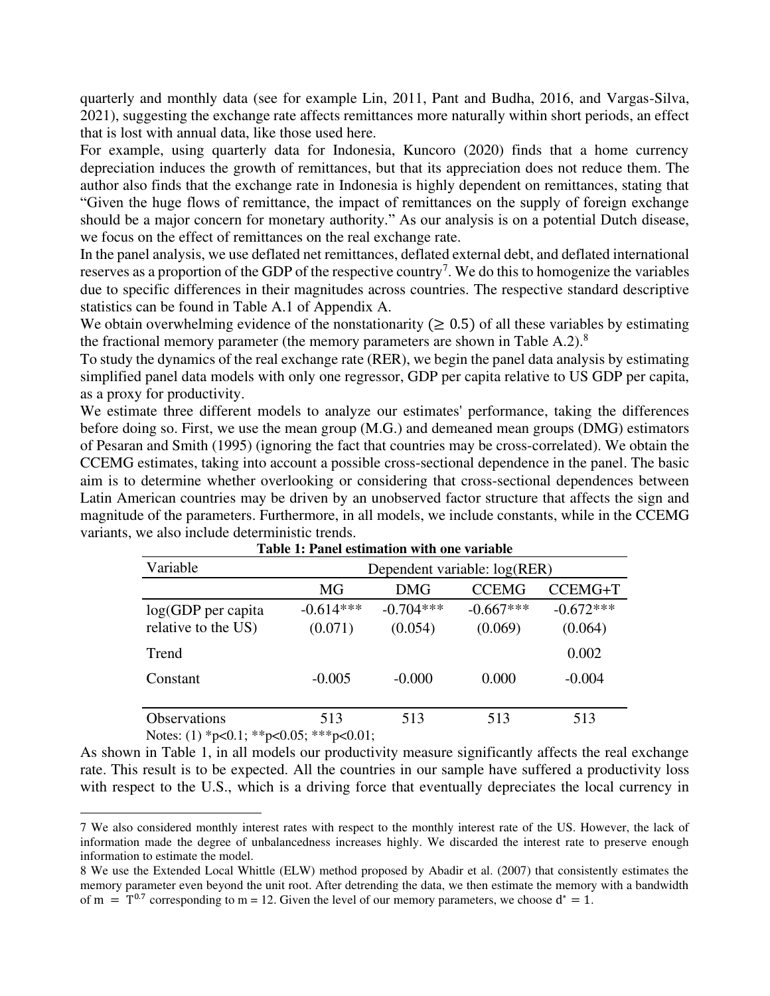quarterly and monthly data (see for example Lin, 2011, Pant and Budha, 2016, and Vargas-Silva, 2021), suggesting the exchange rate affects remittances more naturally within short periods, an effect that is lost with annual data, like those used here.

For example, using quarterly data for Indonesia, Kuncoro (2020) finds that a home currency depreciation induces the growth of remittances, but that its appreciation does not reduce them. The author also finds that the exchange rate in Indonesia is highly dependent on remittances, stating that "Given the huge flows of remittance, the impact of remittances on the supply of foreign exchange should be a major concern for monetary authority." As our analysis is on a potential Dutch disease, we focus on the effect of remittances on the real exchange rate.

In the panel analysis, we use deflated net remittances, deflated external debt, and deflated international reserves as a proportion of the GDP of the respective country<sup>7</sup>. We do this to homogenize the variables due to specific differences in their magnitudes across countries. The respective standard descriptive statistics can be found in Table A.1 of Appendix A.

We obtain overwhelming evidence of the nonstationarity  $(≥ 0.5)$  of all these variables by estimating the fractional memory parameter (the memory parameters are shown in Table A.2). $8$ 

To study the dynamics of the real exchange rate (RER), we begin the panel data analysis by estimating simplified panel data models with only one regressor, GDP per capita relative to US GDP per capita, as a proxy for productivity.

We estimate three different models to analyze our estimates' performance, taking the differences before doing so. First, we use the mean group (M.G.) and demeaned mean groups (DMG) estimators of Pesaran and Smith (1995) (ignoring the fact that countries may be cross-correlated). We obtain the CCEMG estimates, taking into account a possible cross-sectional dependence in the panel. The basic aim is to determine whether overlooking or considering that cross-sectional dependences between Latin American countries may be driven by an unobserved factor structure that affects the sign and magnitude of the parameters. Furthermore, in all models, we include constants, while in the CCEMG variants, we also include deterministic trends.

| Variable                                  | Dependent variable: log(RER) |                        |                        |                        |  |  |  |  |
|-------------------------------------------|------------------------------|------------------------|------------------------|------------------------|--|--|--|--|
|                                           | MG                           | DMG                    | <b>CCEMG</b>           | CCEMG+T                |  |  |  |  |
| log(GDP per capita<br>relative to the US) | $-0.614***$<br>(0.071)       | $-0.704***$<br>(0.054) | $-0.667***$<br>(0.069) | $-0.672***$<br>(0.064) |  |  |  |  |
| Trend                                     |                              |                        |                        | 0.002                  |  |  |  |  |
| Constant                                  | $-0.005$                     | $-0.000$               | 0.000                  | $-0.004$               |  |  |  |  |
| <b>Observations</b>                       | 513                          | 513                    | 513                    | 513                    |  |  |  |  |

| Table 1: Panel estimation with one variable |  |
|---------------------------------------------|--|
|---------------------------------------------|--|

Notes: (1) \*p<0.1; \*\*p<0.05; \*\*\*p<0.01;

As shown in Table 1, in all models our productivity measure significantly affects the real exchange rate. This result is to be expected. All the countries in our sample have suffered a productivity loss with respect to the U.S., which is a driving force that eventually depreciates the local currency in

<sup>7</sup> We also considered monthly interest rates with respect to the monthly interest rate of the US. However, the lack of information made the degree of unbalancedness increases highly. We discarded the interest rate to preserve enough information to estimate the model.

<sup>8</sup> We use the Extended Local Whittle (ELW) method proposed by Abadir et al. (2007) that consistently estimates the memory parameter even beyond the unit root. After detrending the data, we then estimate the memory with a bandwidth of m =  $T^{0.7}$  corresponding to m = 12. Given the level of our memory parameters, we choose  $d^* = 1$ .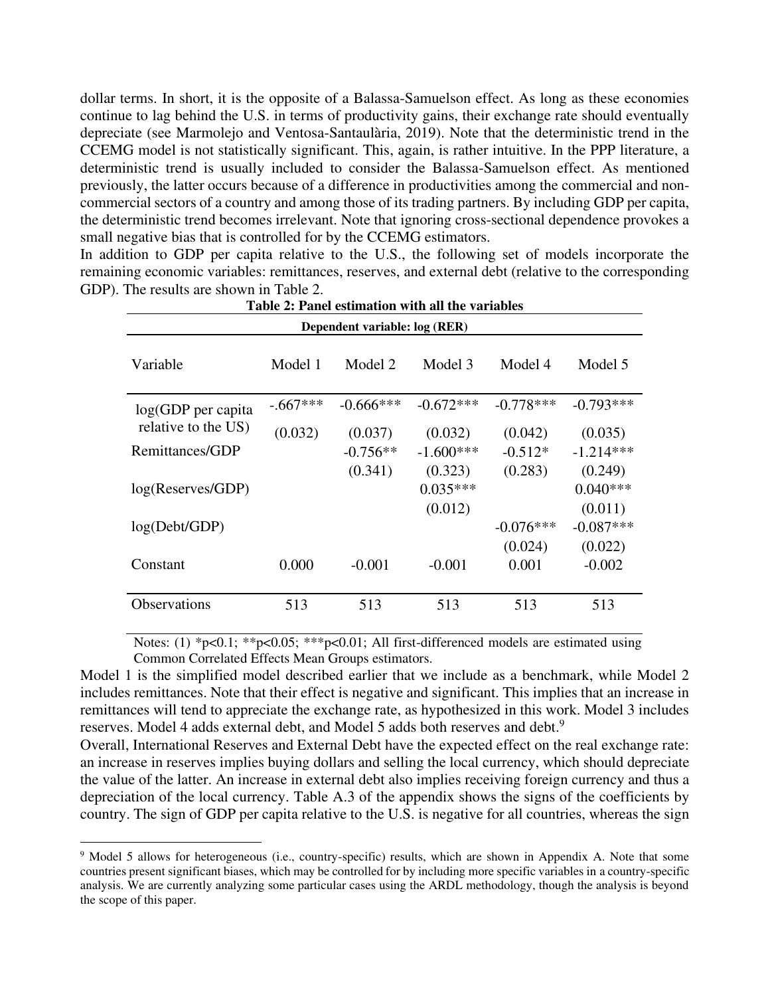dollar terms. In short, it is the opposite of a Balassa-Samuelson effect. As long as these economies continue to lag behind the U.S. in terms of productivity gains, their exchange rate should eventually depreciate (see Marmolejo and Ventosa-Santaulària, 2019). Note that the deterministic trend in the CCEMG model is not statistically significant. This, again, is rather intuitive. In the PPP literature, a deterministic trend is usually included to consider the Balassa-Samuelson effect. As mentioned previously, the latter occurs because of a difference in productivities among the commercial and noncommercial sectors of a country and among those of its trading partners. By including GDP per capita, the deterministic trend becomes irrelevant. Note that ignoring cross-sectional dependence provokes a small negative bias that is controlled for by the CCEMG estimators.

In addition to GDP per capita relative to the U.S., the following set of models incorporate the remaining economic variables: remittances, reserves, and external debt (relative to the corresponding GDP). The results are shown in Table 2.

| Dependent variable: log (RER) |            |              |             |             |             |  |  |  |  |
|-------------------------------|------------|--------------|-------------|-------------|-------------|--|--|--|--|
| Variable                      | Model 1    | Model 2      | Model 3     | Model 4     | Model 5     |  |  |  |  |
| $log(GDP$ per capita          | $-.667***$ | $-0.666$ *** | $-0.672***$ | $-0.778***$ | $-0.793***$ |  |  |  |  |
| relative to the US)           | (0.032)    | (0.037)      | (0.032)     | (0.042)     | (0.035)     |  |  |  |  |
| Remittances/GDP               |            | $-0.756**$   | $-1.600***$ | $-0.512*$   | $-1.214***$ |  |  |  |  |
|                               |            | (0.341)      | (0.323)     | (0.283)     | (0.249)     |  |  |  |  |
| log(Reserves/GDP)             |            |              | $0.035***$  |             | $0.040***$  |  |  |  |  |
|                               |            |              | (0.012)     |             | (0.011)     |  |  |  |  |
| log(Debt/GDP)                 |            |              |             | $-0.076***$ | $-0.087***$ |  |  |  |  |
|                               |            |              |             | (0.024)     | (0.022)     |  |  |  |  |
| Constant                      | 0.000      | $-0.001$     | $-0.001$    | 0.001       | $-0.002$    |  |  |  |  |
|                               |            |              |             |             |             |  |  |  |  |
| <b>Observations</b>           | 513        | 513          | 513         | 513         | 513         |  |  |  |  |

|  |  | Table 2: Panel estimation with all the variables |  |
|--|--|--------------------------------------------------|--|
|  |  |                                                  |  |

Notes: (1) \*p<0.1; \*\*p<0.05; \*\*\*p<0.01; All first-differenced models are estimated using Common Correlated Effects Mean Groups estimators.

Model 1 is the simplified model described earlier that we include as a benchmark, while Model 2 includes remittances. Note that their effect is negative and significant. This implies that an increase in remittances will tend to appreciate the exchange rate, as hypothesized in this work. Model 3 includes reserves. Model 4 adds external debt, and Model 5 adds both reserves and debt.<sup>9</sup>

Overall, International Reserves and External Debt have the expected effect on the real exchange rate: an increase in reserves implies buying dollars and selling the local currency, which should depreciate the value of the latter. An increase in external debt also implies receiving foreign currency and thus a depreciation of the local currency. Table A.3 of the appendix shows the signs of the coefficients by country. The sign of GDP per capita relative to the U.S. is negative for all countries, whereas the sign

<sup>&</sup>lt;sup>9</sup> Model 5 allows for heterogeneous (i.e., country-specific) results, which are shown in Appendix A. Note that some countries present significant biases, which may be controlled for by including more specific variables in a country-specific analysis. We are currently analyzing some particular cases using the ARDL methodology, though the analysis is beyond the scope of this paper.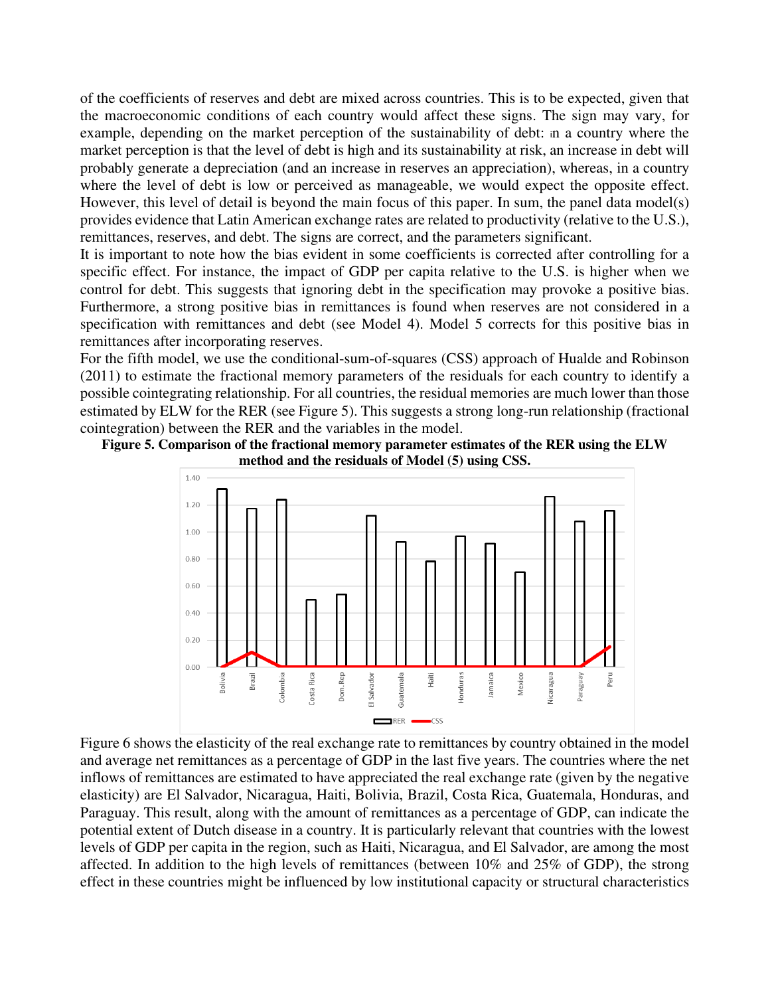of the coefficients of reserves and debt are mixed across countries. This is to be expected, given that the macroeconomic conditions of each country would affect these signs. The sign may vary, for example, depending on the market perception of the sustainability of debt: in a country where the market perception is that the level of debt is high and its sustainability at risk, an increase in debt will probably generate a depreciation (and an increase in reserves an appreciation), whereas, in a country where the level of debt is low or perceived as manageable, we would expect the opposite effect. However, this level of detail is beyond the main focus of this paper. In sum, the panel data model(s) provides evidence that Latin American exchange rates are related to productivity (relative to the U.S.), remittances, reserves, and debt. The signs are correct, and the parameters significant.

It is important to note how the bias evident in some coefficients is corrected after controlling for a specific effect. For instance, the impact of GDP per capita relative to the U.S. is higher when we control for debt. This suggests that ignoring debt in the specification may provoke a positive bias. Furthermore, a strong positive bias in remittances is found when reserves are not considered in a specification with remittances and debt (see Model 4). Model 5 corrects for this positive bias in remittances after incorporating reserves.

For the fifth model, we use the conditional-sum-of-squares (CSS) approach of Hualde and Robinson (2011) to estimate the fractional memory parameters of the residuals for each country to identify a possible cointegrating relationship. For all countries, the residual memories are much lower than those estimated by ELW for the RER (see Figure 5). This suggests a strong long-run relationship (fractional cointegration) between the RER and the variables in the model.





Figure 6 shows the elasticity of the real exchange rate to remittances by country obtained in the model and average net remittances as a percentage of GDP in the last five years. The countries where the net inflows of remittances are estimated to have appreciated the real exchange rate (given by the negative elasticity) are El Salvador, Nicaragua, Haiti, Bolivia, Brazil, Costa Rica, Guatemala, Honduras, and Paraguay. This result, along with the amount of remittances as a percentage of GDP, can indicate the potential extent of Dutch disease in a country. It is particularly relevant that countries with the lowest levels of GDP per capita in the region, such as Haiti, Nicaragua, and El Salvador, are among the most affected. In addition to the high levels of remittances (between 10% and 25% of GDP), the strong effect in these countries might be influenced by low institutional capacity or structural characteristics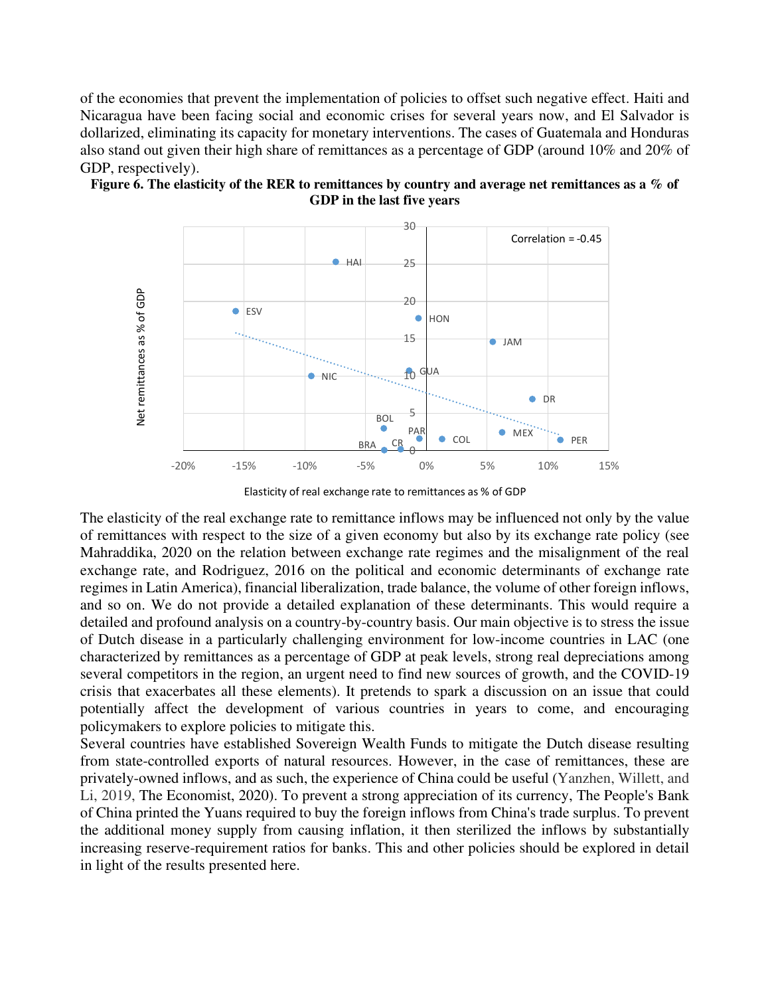of the economies that prevent the implementation of policies to offset such negative effect. Haiti and Nicaragua have been facing social and economic crises for several years now, and El Salvador is dollarized, eliminating its capacity for monetary interventions. The cases of Guatemala and Honduras also stand out given their high share of remittances as a percentage of GDP (around 10% and 20% of GDP, respectively).





Elasticity of real exchange rate to remittances as % of GDP

The elasticity of the real exchange rate to remittance inflows may be influenced not only by the value of remittances with respect to the size of a given economy but also by its exchange rate policy (see Mahraddika, 2020 on the relation between exchange rate regimes and the misalignment of the real exchange rate, and Rodriguez, 2016 on the political and economic determinants of exchange rate regimes in Latin America), financial liberalization, trade balance, the volume of other foreign inflows, and so on. We do not provide a detailed explanation of these determinants. This would require a detailed and profound analysis on a country-by-country basis. Our main objective is to stress the issue of Dutch disease in a particularly challenging environment for low-income countries in LAC (one characterized by remittances as a percentage of GDP at peak levels, strong real depreciations among several competitors in the region, an urgent need to find new sources of growth, and the COVID-19 crisis that exacerbates all these elements). It pretends to spark a discussion on an issue that could potentially affect the development of various countries in years to come, and encouraging policymakers to explore policies to mitigate this.

Several countries have established Sovereign Wealth Funds to mitigate the Dutch disease resulting from state-controlled exports of natural resources. However, in the case of remittances, these are privately-owned inflows, and as such, the experience of China could be useful (Yanzhen, Willett, and Li, 2019, The Economist, 2020). To prevent a strong appreciation of its currency, The People's Bank of China printed the Yuans required to buy the foreign inflows from China's trade surplus. To prevent the additional money supply from causing inflation, it then sterilized the inflows by substantially increasing reserve-requirement ratios for banks. This and other policies should be explored in detail in light of the results presented here.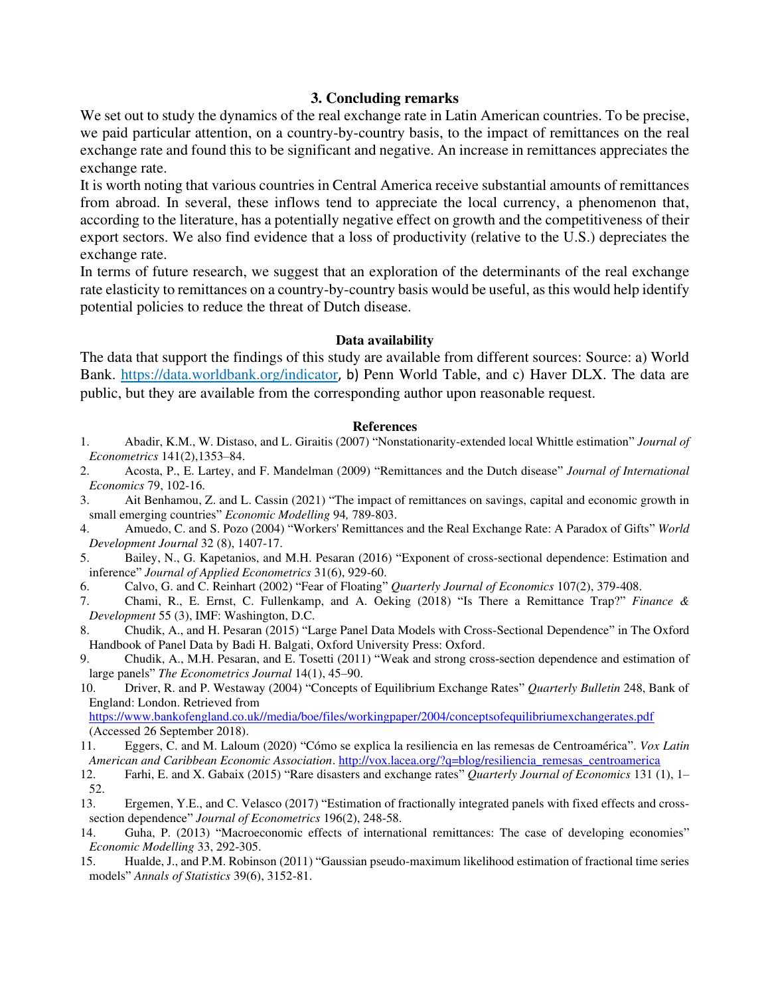#### **3. Concluding remarks**

We set out to study the dynamics of the real exchange rate in Latin American countries. To be precise, we paid particular attention, on a country-by-country basis, to the impact of remittances on the real exchange rate and found this to be significant and negative. An increase in remittances appreciates the exchange rate.

It is worth noting that various countries in Central America receive substantial amounts of remittances from abroad. In several, these inflows tend to appreciate the local currency, a phenomenon that, according to the literature, has a potentially negative effect on growth and the competitiveness of their export sectors. We also find evidence that a loss of productivity (relative to the U.S.) depreciates the exchange rate.

In terms of future research, we suggest that an exploration of the determinants of the real exchange rate elasticity to remittances on a country-by-country basis would be useful, as this would help identify potential policies to reduce the threat of Dutch disease.

#### **Data availability**

The data that support the findings of this study are available from different sources: Source: a) World Bank.<https://data.worldbank.org/indicator>, b) Penn World Table, and c) Haver DLX. The data are public, but they are available from the corresponding author upon reasonable request.

#### **References**

- 1. Abadir, K.M., W. Distaso, and L. Giraitis (2007) "Nonstationarity-extended local Whittle estimation" *Journal of Econometrics* 141(2),1353–84.
- 2. Acosta, P., E. Lartey, and F. Mandelman (2009) "Remittances and the Dutch disease" *Journal of International Economics* 79, 102-16.<br>3. **Ait Benhamou.**
- 3. Ait Benhamou, Z. and L. Cassin (2021) "The impact of remittances on savings, capital and economic growth in small emerging countries" *Economic Modelling* 94*,* 789-803.
- 4. Amuedo, C. and S. Pozo (2004) "Workers' Remittances and the Real Exchange Rate: A Paradox of Gifts" *World Development Journal* 32 (8), 1407-17.
- 5. Bailey, N., G. Kapetanios, and M.H. Pesaran (2016) "Exponent of cross-sectional dependence: Estimation and inference" *Journal of Applied Econometrics* 31(6), 929-60.
- 6. Calvo, G. and C. Reinhart (2002) "Fear of Floating" *Quarterly Journal of Economics* 107(2), 379-408.
- 7. Chami, R., E. Ernst, C. Fullenkamp, and A. Oeking (2018) "Is There a Remittance Trap?" *Finance & Development* 55 (3), IMF: Washington, D.C.
- 8. Chudik, A., and H. Pesaran (2015) "Large Panel Data Models with Cross-Sectional Dependence" in The Oxford Handbook of Panel Data by Badi H. Balgati, Oxford University Press: Oxford.
- 9. Chudik, A., M.H. Pesaran, and E. Tosetti (2011) "Weak and strong cross-section dependence and estimation of large panels" *The Econometrics Journal* 14(1), 45–90.
- 10. Driver, R. and P. Westaway (2004) "Concepts of Equilibrium Exchange Rates" *Quarterly Bulletin* 248, Bank of England: London. Retrieved from

[https://www.bankofengland.co.uk//media/boe/files/workingpaper/2004/conceptsofequilibriumexchangerates.pdf](https://www.bankofengland.co.uk/media/boe/files/workingpaper/2004/conceptsofequilibriumexchangerates.pdf) (Accessed 26 September 2018).

- 11. Eggers, C. and M. Laloum (2020) "Cómo se explica la resiliencia en las remesas de Centroamérica". *Vox Latin American and Caribbean Economic Association*. [http://vox.lacea.org/?q=blog/resiliencia\\_remesas\\_centroamerica](http://vox.lacea.org/?q=blog/resiliencia_remesas_centroamerica)
- 12. Farhi, E. and X. Gabaix (2015) "Rare disasters and exchange rates" *Quarterly Journal of Economics* 131 (1), 1–  $\frac{52}{13}$ .
- 13. Ergemen, Y.E., and C. Velasco (2017) "Estimation of fractionally integrated panels with fixed effects and crosssection dependence" *Journal of Econometrics* 196(2), 248-58.
- 14. Guha, P. (2013) "Macroeconomic effects of international remittances: The case of developing economies" *Economic Modelling* 33, 292-305.
- 15. Hualde, J., and P.M. Robinson (2011) "Gaussian pseudo-maximum likelihood estimation of fractional time series models" *Annals of Statistics* 39(6), 3152-81.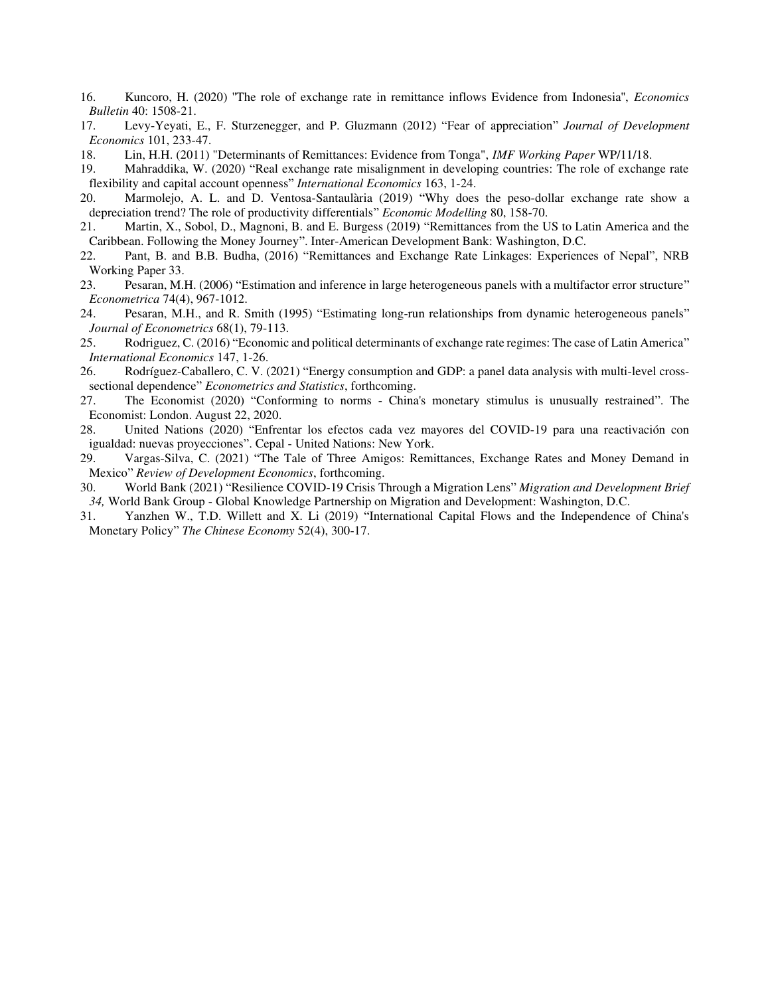- 16. Kuncoro, H. (2020) ''The role of exchange rate in remittance inflows Evidence from Indonesia'', *Economics Bulletin* 40: 1508-21.
- 17. Levy-Yeyati, E., F. Sturzenegger, and P. Gluzmann (2012) "Fear of appreciation" *Journal of Development Economics* 101, 233-47.
- 18. Lin, H.H. (2011) "Determinants of Remittances: Evidence from Tonga", *IMF Working Paper* WP/11/18.
- 19. Mahraddika, W. (2020) "Real exchange rate misalignment in developing countries: The role of exchange rate flexibility and capital account openness" *International Economics* 163, 1-24.
- 20. Marmolejo, A. L. and D. Ventosa-Santaulària (2019) "Why does the peso-dollar exchange rate show a depreciation trend? The role of productivity differentials" *Economic Modelling* 80, 158-70.
- 21. Martin, X., Sobol, D., Magnoni, B. and E. Burgess (2019) "Remittances from the US to Latin America and the Caribbean. Following the Money Journey". Inter-American Development Bank: Washington, D.C.
- 22. Pant, B. and B.B. Budha, (2016) "Remittances and Exchange Rate Linkages: Experiences of Nepal", NRB Working Paper 33.
- 23. Pesaran, M.H. (2006) "Estimation and inference in large heterogeneous panels with a multifactor error structure" *Econometrica* 74(4), 967-1012.
- 24. Pesaran, M.H., and R. Smith (1995) "Estimating long-run relationships from dynamic heterogeneous panels" *Journal of Econometrics* 68(1), 79-113.
- 25. Rodriguez, C. (2016) "Economic and political determinants of exchange rate regimes: The case of Latin America" *International Economics* 147, 1-26.
- 26. Rodríguez-Caballero, C. V. (2021) "Energy consumption and GDP: a panel data analysis with multi-level crosssectional dependence" *Econometrics and Statistics*, forthcoming.
- 27. The Economist (2020) "Conforming to norms China's monetary stimulus is unusually restrained". The Economist: London. August 22, 2020.
- 28. United Nations (2020) "Enfrentar los efectos cada vez mayores del COVID-19 para una reactivación con igualdad: nuevas proyecciones". Cepal - United Nations: New York.
- 29. Vargas-Silva, C. (2021) "The Tale of Three Amigos: Remittances, Exchange Rates and Money Demand in Mexico" *Review of Development Economics*, forthcoming.
- 30. World Bank (2021) "Resilience COVID-19 Crisis Through a Migration Lens" *Migration and Development Brief 34,* World Bank Group - Global Knowledge Partnership on Migration and Development: Washington, D.C.
- 31. Yanzhen W., T.D. Willett and X. Li (2019) "International Capital Flows and the Independence of China's Monetary Policy" *The Chinese Economy* 52(4), 300-17.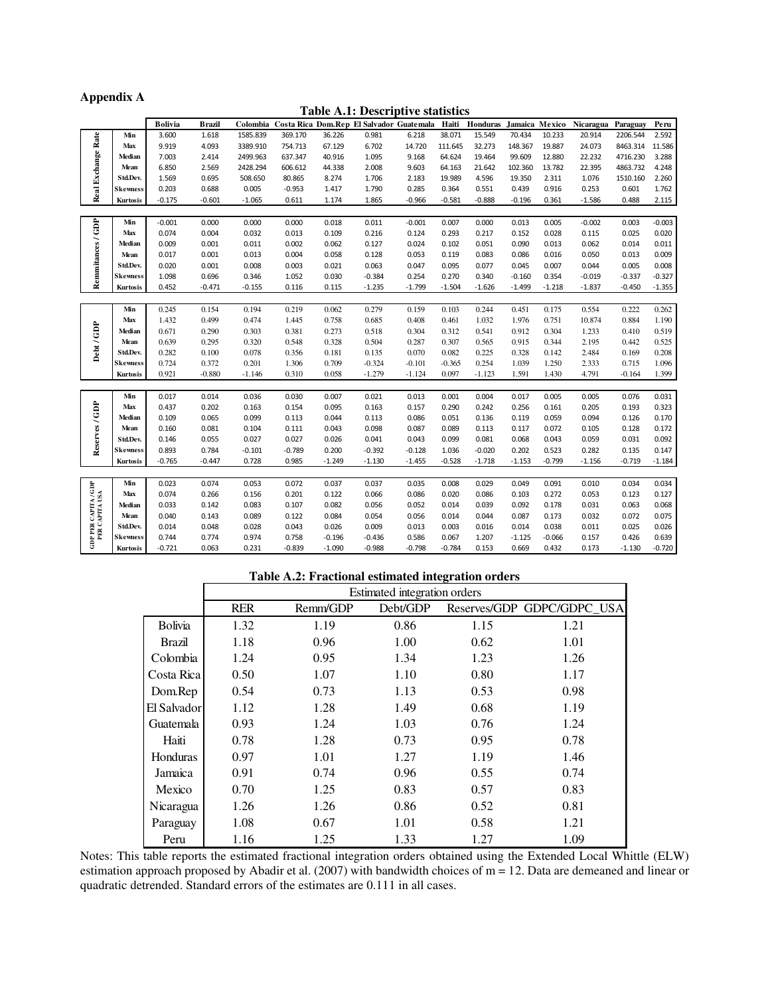#### **Appendix A**

**Table A.1: Descriptive statistics** 

|                                                |                  | Bolivia        | <b>B</b> razil | Colombia       |                |                | Costa Rica Dom.Rep El Salvador Guatemala |                | Haiti          | Honduras       | Jamaica Mexico |                | Nicaragua      | Paraguay       | Peru           |
|------------------------------------------------|------------------|----------------|----------------|----------------|----------------|----------------|------------------------------------------|----------------|----------------|----------------|----------------|----------------|----------------|----------------|----------------|
|                                                | Min              | 3.600          | 1.618          | 1585.839       | 369.170        | 36.226         | 0.981                                    | 6.218          | 38.071         | 15.549         | 70.434         | 10.233         | 20.914         | 2206.544       | 2.592          |
|                                                | Max              | 9.919          | 4.093          | 3389.910       | 754.713        | 67.129         | 6.702                                    | 14.720         | 111.645        | 32.273         | 148.367        | 19.887         | 24.073         | 8463.314       | 11.586         |
|                                                | Median           | 7.003          | 2.414          | 2499.963       | 637.347        | 40.916         | 1.095                                    | 9.168          | 64.624         | 19.464         | 99.609         | 12.880         | 22.232         | 4716.230       | 3.288          |
|                                                | Mean             | 6.850          | 2.569          | 2428.294       | 606.612        | 44.338         | 2.008                                    | 9.603          | 64.163         | 21.642         | 102.360        | 13.782         | 22.395         | 4863.732       | 4.248          |
|                                                | Std.Dev.         | 1.569          | 0.695          | 508.650        | 80.865         | 8.274          | 1.706                                    | 2.183          | 19.989         | 4.596          | 19.350         | 2.311          | 1.076          | 1510.160       | 2.260          |
| Real Exchange Rate                             | Skewness         | 0.203          | 0.688          | 0.005          | $-0.953$       | 1.417          | 1.790                                    | 0.285          | 0.364          | 0.551          | 0.439          | 0.916          | 0.253          | 0.601          | 1.762          |
|                                                | Kurtosis         | $-0.175$       | $-0.601$       | $-1.065$       | 0.611          | 1.174          | 1.865                                    | $-0.966$       | $-0.581$       | $-0.888$       | $-0.196$       | 0.361          | $-1.586$       | 0.488          | 2.115          |
|                                                |                  |                |                |                |                |                |                                          |                |                |                |                |                |                |                |                |
| Remmitances / GDP                              | Min              | $-0.001$       | 0.000          | 0.000          | 0.000          | 0.018          | 0.011                                    | $-0.001$       | 0.007          | 0.000          | 0.013          | 0.005          | $-0.002$       | 0.003          | $-0.003$       |
|                                                | Max              | 0.074          | 0.004          | 0.032          | 0.013          | 0.109          | 0.216                                    | 0.124          | 0.293          | 0.217          | 0.152          | 0.028          | 0.115          | 0.025          | 0.020          |
|                                                | Median           | 0.009          | 0.001          | 0.011          | 0.002          | 0.062          | 0.127                                    | 0.024          | 0.102          | 0.051          | 0.090          | 0.013          | 0.062          | 0.014          | 0.011          |
|                                                | Mean             | 0.017          | 0.001          | 0.013          | 0.004          | 0.058          | 0.128                                    | 0.053          | 0.119          | 0.083          | 0.086          | 0.016          | 0.050          | 0.013          | 0.009          |
|                                                | Std.Dev.         | 0.020          | 0.001          | 0.008          | 0.003          | 0.021          | 0.063                                    | 0.047          | 0.095          | 0.077          | 0.045          | 0.007          | 0.044          | 0.005          | 0.008          |
|                                                | Skewness         | 1.098          | 0.696          | 0.346          | 1.052          | 0.030          | $-0.384$                                 | 0.254          | 0.270          | 0.340          | $-0.160$       | 0.354          | $-0.019$       | $-0.337$       | $-0.327$       |
|                                                | Kurtosis         | 0.452          | $-0.471$       | $-0.155$       | 0.116          | 0.115          | $-1.235$                                 | $-1.799$       | $-1.504$       | $-1.626$       | $-1.499$       | $-1.218$       | $-1.837$       | $-0.450$       | $-1.355$       |
|                                                |                  |                |                |                |                |                |                                          |                |                |                |                |                |                |                |                |
|                                                | Min              | 0.245          | 0.154          | 0.194          | 0.219          | 0.062          | 0.279                                    | 0.159          | 0.103          | 0.244          | 0.451          | 0.175          | 0.554          | 0.222          | 0.262          |
|                                                | Max              | 1.432          | 0.499          | 0.474          | 1.445          | 0.758          | 0.685                                    | 0.408          | 0.461          | 1.032          | 1.976          | 0.751          | 10.874         | 0.884          | 1.190          |
|                                                | Median           | 0.671          | 0.290          | 0.303          | 0.381          | 0.273          | 0.518                                    | 0.304          | 0.312          | 0.541          | 0.912          | 0.304          | 1.233          | 0.410          | 0.519          |
| Debt/GDP                                       | Mean             | 0.639          | 0.295          | 0.320          | 0.548          | 0.328          | 0.504                                    | 0.287          | 0.307          | 0.565          | 0.915          | 0.344          | 2.195          | 0.442          | 0.525          |
|                                                | Std.Dev.         | 0.282          | 0.100          | 0.078          | 0.356          | 0.181          | 0.135                                    | 0.070          | 0.082          | 0.225          | 0.328          | 0.142          | 2.484          | 0.169          | 0.208          |
|                                                | Skewness         | 0.724          | 0.372          | 0.201          | 1.306          | 0.709          | $-0.324$                                 | $-0.101$       | $-0.365$       | 0.254          | 1.039          | 1.250          | 2.333          | 0.715          | 1.096          |
|                                                | Kurtosis         | 0.921          | $-0.880$       | $-1.146$       | 0.310          | 0.058          | $-1.279$                                 | $-1.124$       | 0.097          | $-1.123$       | 1.591          | 1.430          | 4.791          | $-0.164$       | 1.399          |
|                                                |                  |                |                |                |                |                |                                          |                |                |                |                |                |                |                |                |
|                                                | Min              | 0.017<br>0.437 | 0.014          | 0.036          | 0.030          | 0.007<br>0.095 | 0.021                                    | 0.013<br>0.157 | 0.001          | 0.004          | 0.017<br>0.256 | 0.005          | 0.005          | 0.076          | 0.031          |
|                                                | Max<br>Median    |                | 0.202<br>0.065 | 0.163<br>0.099 | 0.154          |                | 0.163<br>0.113                           | 0.086          | 0.290          | 0.242          |                | 0.161          | 0.205<br>0.094 | 0.193          | 0.323<br>0.170 |
| Reserves / GDP                                 |                  | 0.109<br>0.160 | 0.081          | 0.104          | 0.113<br>0.111 | 0.044<br>0.043 | 0.098                                    | 0.087          | 0.051<br>0.089 | 0.136<br>0.113 | 0.119<br>0.117 | 0.059<br>0.072 | 0.105          | 0.126<br>0.128 | 0.172          |
|                                                | Mean<br>Std.Dev. | 0.146          | 0.055          | 0.027          | 0.027          | 0.026          | 0.041                                    | 0.043          | 0.099          | 0.081          | 0.068          | 0.043          | 0.059          | 0.031          | 0.092          |
|                                                | Skewness         | 0.893          | 0.784          | $-0.101$       | $-0.789$       | 0.200          | $-0.392$                                 | $-0.128$       | 1.036          | $-0.020$       | 0.202          | 0.523          | 0.282          | 0.135          | 0.147          |
|                                                | Kurtosis         | $-0.765$       | $-0.447$       | 0.728          | 0.985          | $-1.249$       | $-1.130$                                 | $-1.455$       | $-0.528$       | $-1.718$       | $-1.153$       | $-0.799$       | $-1.156$       | $-0.719$       | $-1.184$       |
|                                                |                  |                |                |                |                |                |                                          |                |                |                |                |                |                |                |                |
|                                                | Min              | 0.023          | 0.074          | 0.053          | 0.072          | 0.037          | 0.037                                    | 0.035          | 0.008          | 0.029          | 0.049          | 0.091          | 0.010          | 0.034          | 0.034          |
|                                                | Max              | 0.074          | 0.266          | 0.156          | 0.201          | 0.122          | 0.066                                    | 0.086          | 0.020          | 0.086          | 0.103          | 0.272          | 0.053          | 0.123          | 0.127          |
| <b>GDP PER CAPITA / GDP<br/>PER CAPITA USA</b> | Median           | 0.033          | 0.142          | 0.083          | 0.107          | 0.082          | 0.056                                    | 0.052          | 0.014          | 0.039          | 0.092          | 0.178          | 0.031          | 0.063          | 0.068          |
|                                                | Mean             | 0.040          | 0.143          | 0.089          | 0.122          | 0.084          | 0.054                                    | 0.056          | 0.014          | 0.044          | 0.087          | 0.173          | 0.032          | 0.072          | 0.075          |
|                                                | Std.Dev.         | 0.014          | 0.048          | 0.028          | 0.043          | 0.026          | 0.009                                    | 0.013          | 0.003          | 0.016          | 0.014          | 0.038          | 0.011          | 0.025          | 0.026          |
|                                                | Skewness         | 0.744          | 0.774          | 0.974          | 0.758          | $-0.196$       | $-0.436$                                 | 0.586          | 0.067          | 1.207          | $-1.125$       | $-0.066$       | 0.157          | 0.426          | 0.639          |
|                                                | Kurtosis         | $-0.721$       | 0.063          | 0.231          | $-0.839$       | $-1.090$       | $-0.988$                                 | $-0.798$       | $-0.784$       | 0.153          | 0.669          | 0.432          | 0.173          | $-1.130$       | $-0.720$       |

#### **Table A.2: Fractional estimated integration orders**

|                 | Estimated integration orders |          |          |      |                            |  |  |  |
|-----------------|------------------------------|----------|----------|------|----------------------------|--|--|--|
|                 | <b>RER</b>                   | Remm/GDP | Debt/GDP |      | Reserves/GDP GDPC/GDPC USA |  |  |  |
| <b>Bolivia</b>  | 1.32                         | 1.19     | 0.86     | 1.15 | 1.21                       |  |  |  |
| Brazil          | 1.18                         | 0.96     | 1.00     | 0.62 | 1.01                       |  |  |  |
| Colombia        | 1.24                         | 0.95     | 1.34     | 1.23 | 1.26                       |  |  |  |
| Costa Rica      | 0.50                         | 1.07     | 1.10     | 0.80 | 1.17                       |  |  |  |
| Dom.Rep         | 0.54                         | 0.73     | 1.13     | 0.53 | 0.98                       |  |  |  |
| El Salvador     | 1.12                         | 1.28     | 1.49     | 0.68 | 1.19                       |  |  |  |
| Guatemala       | 0.93                         | 1.24     | 1.03     | 0.76 | 1.24                       |  |  |  |
| Haiti           | 0.78                         | 1.28     | 0.73     | 0.95 | 0.78                       |  |  |  |
| <b>Honduras</b> | 0.97                         | 1.01     | 1.27     | 1.19 | 1.46                       |  |  |  |
| Jamaica         | 0.91                         | 0.74     | 0.96     | 0.55 | 0.74                       |  |  |  |
| Mexico          | 0.70                         | 1.25     | 0.83     | 0.57 | 0.83                       |  |  |  |
| Nicaragua       | 1.26                         | 1.26     | 0.86     | 0.52 | 0.81                       |  |  |  |
| Paraguay        | 1.08                         | 0.67     | 1.01     | 0.58 | 1.21                       |  |  |  |
| Peru            | 1.16                         | 1.25     | 1.33     | 1.27 | 1.09                       |  |  |  |

Notes: This table reports the estimated fractional integration orders obtained using the Extended Local Whittle (ELW) estimation approach proposed by Abadir et al. (2007) with bandwidth choices of m = 12. Data are demeaned and linear or quadratic detrended. Standard errors of the estimates are 0.111 in all cases.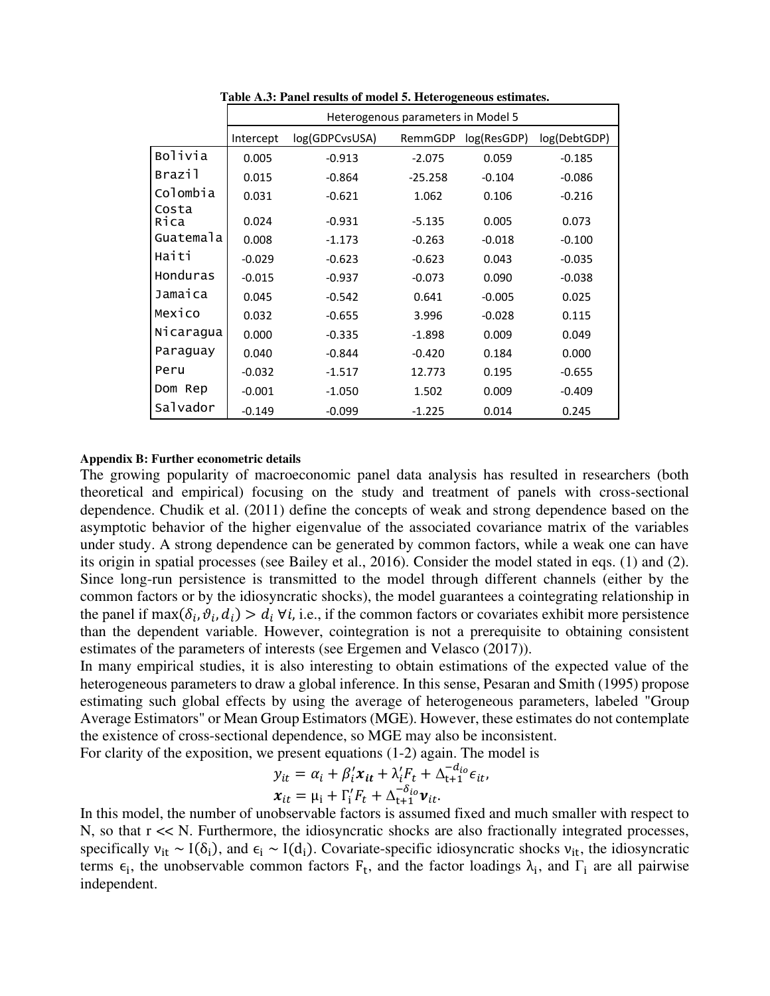|               | Heterogenous parameters in Model 5 |              |           |          |          |  |  |  |  |
|---------------|------------------------------------|--------------|-----------|----------|----------|--|--|--|--|
|               | Intercept                          | log(DebtGDP) |           |          |          |  |  |  |  |
| Bolivia       | 0.005                              | $-0.913$     | $-2.075$  | 0.059    | $-0.185$ |  |  |  |  |
| Brazil        | 0.015                              | $-0.864$     | $-25.258$ | $-0.104$ | $-0.086$ |  |  |  |  |
| Colombia      | 0.031                              | $-0.621$     | 1.062     | 0.106    | $-0.216$ |  |  |  |  |
| Costa<br>Rica | 0.024                              | $-0.931$     | $-5.135$  | 0.005    | 0.073    |  |  |  |  |
| Guatemala     | 0.008                              | $-1.173$     | $-0.263$  | $-0.018$ | $-0.100$ |  |  |  |  |
| Haiti         | $-0.029$                           | $-0.623$     | $-0.623$  | 0.043    | $-0.035$ |  |  |  |  |
| Honduras      | $-0.015$                           | $-0.937$     | $-0.073$  | 0.090    | $-0.038$ |  |  |  |  |
| Jamaica       | 0.045                              | $-0.542$     | 0.641     | $-0.005$ | 0.025    |  |  |  |  |
| Mexico        | 0.032                              | $-0.655$     | 3.996     | $-0.028$ | 0.115    |  |  |  |  |
| Nicaragua     | 0.000                              | $-0.335$     | $-1.898$  | 0.009    | 0.049    |  |  |  |  |
| Paraguay      | 0.040                              | $-0.844$     | $-0.420$  | 0.184    | 0.000    |  |  |  |  |
| Peru          | $-0.032$                           | $-1.517$     | 12.773    | 0.195    | $-0.655$ |  |  |  |  |
| Dom Rep       | $-0.001$                           | $-1.050$     | 1.502     | 0.009    | $-0.409$ |  |  |  |  |
| Salvador      | $-0.149$                           | $-0.099$     | $-1.225$  | 0.014    | 0.245    |  |  |  |  |

**Table A.3: Panel results of model 5. Heterogeneous estimates.**

#### **Appendix B: Further econometric details**

The growing popularity of macroeconomic panel data analysis has resulted in researchers (both theoretical and empirical) focusing on the study and treatment of panels with cross-sectional dependence. Chudik et al. (2011) define the concepts of weak and strong dependence based on the asymptotic behavior of the higher eigenvalue of the associated covariance matrix of the variables under study. A strong dependence can be generated by common factors, while a weak one can have its origin in spatial processes (see Bailey et al., 2016). Consider the model stated in eqs. (1) and (2). Since long-run persistence is transmitted to the model through different channels (either by the common factors or by the idiosyncratic shocks), the model guarantees a cointegrating relationship in the panel if max $(\delta_i, \vartheta_i, d_i) > d_i \,\forall i$ , i.e., if the common factors or covariates exhibit more persistence than the dependent variable. However, cointegration is not a prerequisite to obtaining consistent estimates of the parameters of interests (see Ergemen and Velasco (2017)).

In many empirical studies, it is also interesting to obtain estimations of the expected value of the heterogeneous parameters to draw a global inference. In this sense, Pesaran and Smith (1995) propose estimating such global effects by using the average of heterogeneous parameters, labeled "Group Average Estimators" or Mean Group Estimators (MGE). However, these estimates do not contemplate the existence of cross-sectional dependence, so MGE may also be inconsistent.

For clarity of the exposition, we present equations (1-2) again. The model is

$$
y_{it} = \alpha_i + \beta'_i x_{it} + \lambda'_i F_t + \Delta_{t+1}^{-d_{io}} \epsilon_{it},
$$
  

$$
x_{it} = \mu_i + \Gamma'_i F_t + \Delta_{t+1}^{-\delta_{io}} \nu_{it}.
$$

In this model, the number of unobservable factors is assumed fixed and much smaller with respect to N, so that  $r \ll N$ . Furthermore, the idiosyncratic shocks are also fractionally integrated processes, specifically  $v_{it} \sim I(\delta_i)$ , and  $\epsilon_i \sim I(d_i)$ . Covariate-specific idiosyncratic shocks  $v_{it}$ , the idiosyncratic terms  $\epsilon_i$ , the unobservable common factors  $F_t$ , and the factor loadings  $\lambda_i$ , and  $\Gamma_i$  are all pairwise independent.